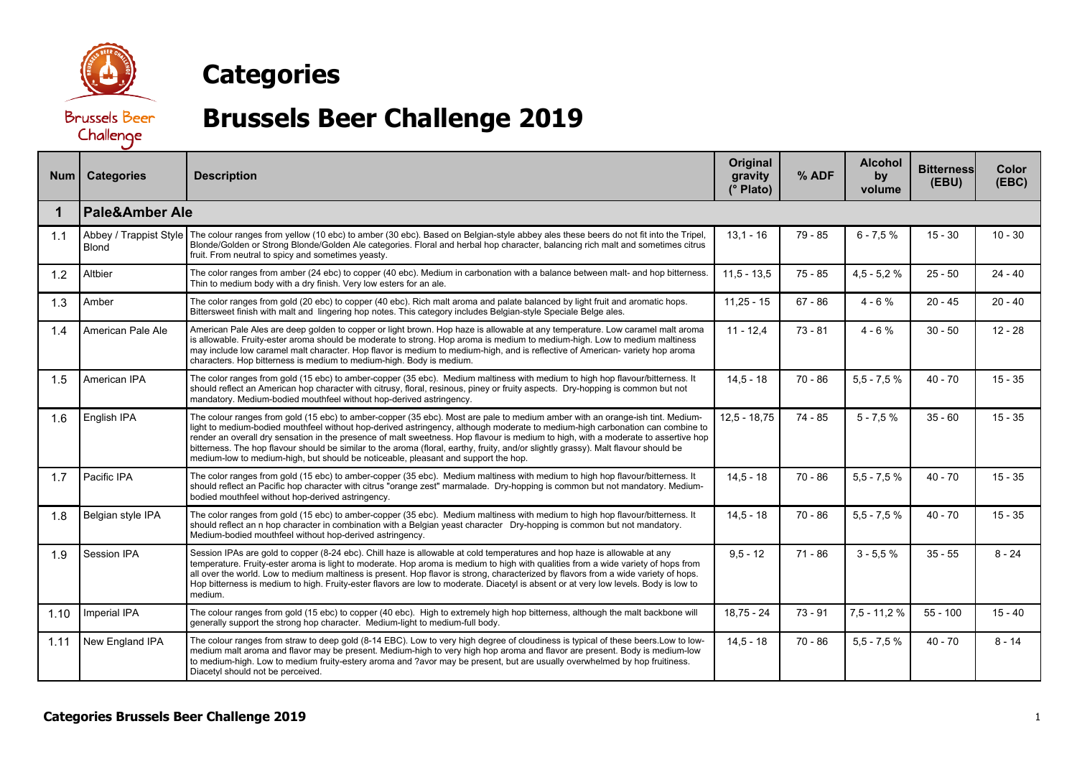

## **Categories**

**Brussels Beer** Challenge

## **Brussels Beer Challenge 2019**

| Num  | <b>Categories</b>                      | <b>Description</b>                                                                                                                                                                                                                                                                                                                                                                                                                                                                                                                                                                                                                | Original<br>gravity<br>(° Plato) | % ADF     | <b>Alcohol</b><br>by<br>volume | <b>Bitterness</b><br>(EBU) | Color<br>(EBC) |  |  |
|------|----------------------------------------|-----------------------------------------------------------------------------------------------------------------------------------------------------------------------------------------------------------------------------------------------------------------------------------------------------------------------------------------------------------------------------------------------------------------------------------------------------------------------------------------------------------------------------------------------------------------------------------------------------------------------------------|----------------------------------|-----------|--------------------------------|----------------------------|----------------|--|--|
| 1    | <b>Pale&amp;Amber Ale</b>              |                                                                                                                                                                                                                                                                                                                                                                                                                                                                                                                                                                                                                                   |                                  |           |                                |                            |                |  |  |
| 1.1  | Abbey / Trappist Style<br><b>Blond</b> | The colour ranges from yellow (10 ebc) to amber (30 ebc). Based on Belgian-style abbey ales these beers do not fit into the Tripel,<br>Blonde/Golden or Strong Blonde/Golden Ale categories. Floral and herbal hop character, balancing rich malt and sometimes citrus<br>fruit. From neutral to spicy and sometimes yeasty.                                                                                                                                                                                                                                                                                                      | $13,1 - 16$                      | $79 - 85$ | $6 - 7.5%$                     | $15 - 30$                  | $10 - 30$      |  |  |
| 1.2  | Altbier                                | The color ranges from amber (24 ebc) to copper (40 ebc). Medium in carbonation with a balance between malt- and hop bitterness.<br>Thin to medium body with a dry finish. Very low esters for an ale.                                                                                                                                                                                                                                                                                                                                                                                                                             | $11.5 - 13.5$                    | $75 - 85$ | $4,5 - 5,2 %$                  | $25 - 50$                  | $24 - 40$      |  |  |
| 1.3  | Amber                                  | The color ranges from gold (20 ebc) to copper (40 ebc). Rich malt aroma and palate balanced by light fruit and aromatic hops.<br>Bittersweet finish with malt and lingering hop notes. This category includes Belgian-style Speciale Belge ales.                                                                                                                                                                                                                                                                                                                                                                                  | $11,25 - 15$                     | $67 - 86$ | $4 - 6%$                       | $20 - 45$                  | $20 - 40$      |  |  |
| 1.4  | American Pale Ale                      | American Pale Ales are deep golden to copper or light brown. Hop haze is allowable at any temperature. Low caramel malt aroma<br>is allowable. Fruity-ester aroma should be moderate to strong. Hop aroma is medium to medium-high. Low to medium maltiness<br>may include low caramel malt character. Hop flavor is medium to medium-high, and is reflective of American- variety hop aroma<br>characters. Hop bitterness is medium to medium-high. Body is medium.                                                                                                                                                              | $11 - 12.4$                      | $73 - 81$ | $4 - 6%$                       | $30 - 50$                  | $12 - 28$      |  |  |
| 1.5  | American IPA                           | The color ranges from gold (15 ebc) to amber-copper (35 ebc). Medium maltiness with medium to high hop flavour/bitterness. It<br>should reflect an American hop character with citrusy, floral, resinous, piney or fruity aspects. Dry-hopping is common but not<br>mandatory. Medium-bodied mouthfeel without hop-derived astringency.                                                                                                                                                                                                                                                                                           | $14.5 - 18$                      | $70 - 86$ | $5,5 - 7,5 %$                  | $40 - 70$                  | $15 - 35$      |  |  |
| 1.6  | English IPA                            | The colour ranges from gold (15 ebc) to amber-copper (35 ebc). Most are pale to medium amber with an orange-ish tint. Medium-<br>light to medium-bodied mouthfeel without hop-derived astringency, although moderate to medium-high carbonation can combine to<br>render an overall dry sensation in the presence of malt sweetness. Hop flavour is medium to high, with a moderate to assertive hop<br>bitterness. The hop flavour should be similar to the aroma (floral, earthy, fruity, and/or slightly grassy). Malt flavour should be<br>medium-low to medium-high, but should be noticeable, pleasant and support the hop. | $12.5 - 18.75$                   | 74 - 85   | $5 - 7,5%$                     | $35 - 60$                  | $15 - 35$      |  |  |
| 1.7  | Pacific IPA                            | The color ranges from gold (15 ebc) to amber-copper (35 ebc). Medium maltiness with medium to high hop flavour/bitterness. It<br>should reflect an Pacific hop character with citrus "orange zest" marmalade. Dry-hopping is common but not mandatory. Medium-<br>bodied mouthfeel without hop-derived astringency.                                                                                                                                                                                                                                                                                                               | $14.5 - 18$                      | $70 - 86$ | $5.5 - 7.5%$                   | $40 - 70$                  | $15 - 35$      |  |  |
| 1.8  | Belgian style IPA                      | The color ranges from gold (15 ebc) to amber-copper (35 ebc). Medium maltiness with medium to high hop flavour/bitterness. It<br>should reflect an n hop character in combination with a Belgian yeast character Dry-hopping is common but not mandatory.<br>Medium-bodied mouthfeel without hop-derived astringency.                                                                                                                                                                                                                                                                                                             | $14.5 - 18$                      | $70 - 86$ | $5,5 - 7,5 %$                  | $40 - 70$                  | $15 - 35$      |  |  |
| 1.9  | Session IPA                            | Session IPAs are gold to copper (8-24 ebc). Chill haze is allowable at cold temperatures and hop haze is allowable at any<br>temperature. Fruity-ester aroma is light to moderate. Hop aroma is medium to high with qualities from a wide variety of hops from<br>all over the world. Low to medium maltiness is present. Hop flavor is strong, characterized by flavors from a wide variety of hops.<br>Hop bitterness is medium to high. Fruity-ester flavors are low to moderate. Diacetyl is absent or at very low levels. Body is low to<br>medium.                                                                          | $9.5 - 12$                       | $71 - 86$ | $3 - 5.5%$                     | $35 - 55$                  | $8 - 24$       |  |  |
| 1.10 | Imperial IPA                           | The colour ranges from gold (15 ebc) to copper (40 ebc). High to extremely high hop bitterness, although the malt backbone will<br>generally support the strong hop character. Medium-light to medium-full body.                                                                                                                                                                                                                                                                                                                                                                                                                  | $18,75 - 24$                     | $73 - 91$ | $7,5 - 11,2%$                  | $55 - 100$                 | $15 - 40$      |  |  |
| 1.11 | New England IPA                        | The colour ranges from straw to deep gold (8-14 EBC). Low to very high degree of cloudiness is typical of these beers. Low to low-<br>medium malt aroma and flavor may be present. Medium-high to very high hop aroma and flavor are present. Body is medium-low<br>to medium-high. Low to medium fruity-estery aroma and ?avor may be present, but are usually overwhelmed by hop fruitiness.<br>Diacetyl should not be perceived.                                                                                                                                                                                               | $14.5 - 18$                      | $70 - 86$ | $5.5 - 7.5%$                   | $40 - 70$                  | $8 - 14$       |  |  |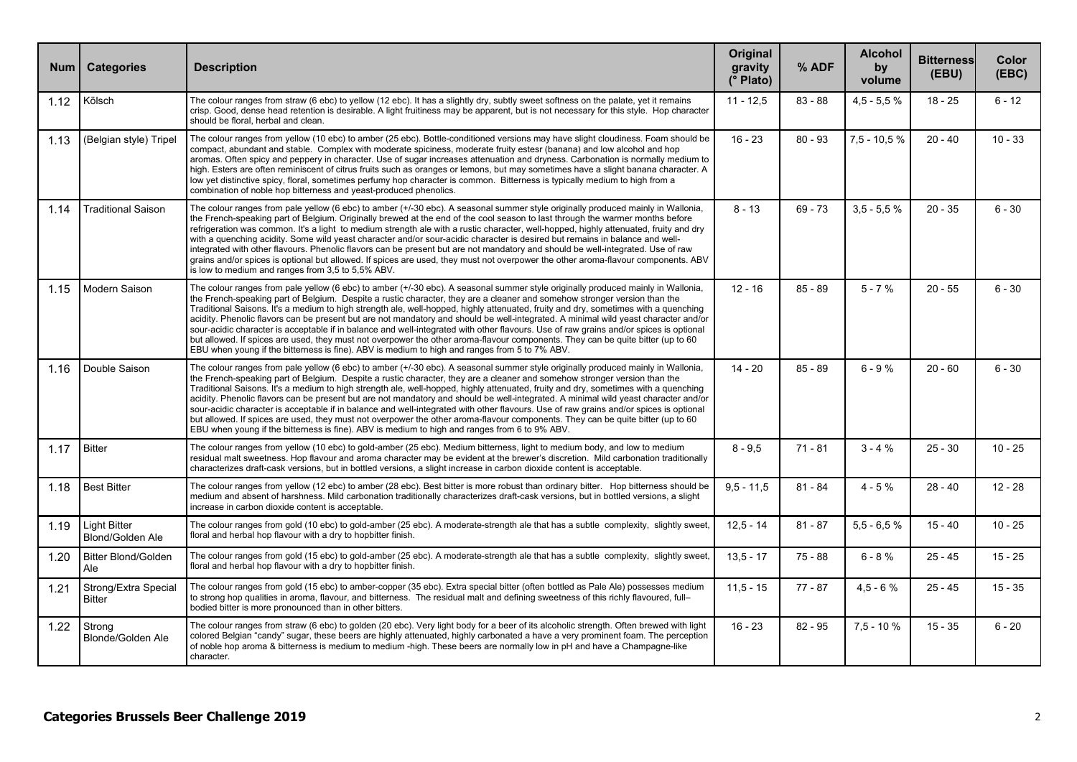| <b>Num</b> | <b>Categories</b>                     | <b>Description</b>                                                                                                                                                                                                                                                                                                                                                                                                                                                                                                                                                                                                                                                                                                                                                                                                                                                                                                        | <b>Original</b><br>gravity<br>(° Plato) | % ADF     | <b>Alcohol</b><br>by<br>volume | <b>Bitterness</b><br>(EBU) | Color<br>(EBC) |
|------------|---------------------------------------|---------------------------------------------------------------------------------------------------------------------------------------------------------------------------------------------------------------------------------------------------------------------------------------------------------------------------------------------------------------------------------------------------------------------------------------------------------------------------------------------------------------------------------------------------------------------------------------------------------------------------------------------------------------------------------------------------------------------------------------------------------------------------------------------------------------------------------------------------------------------------------------------------------------------------|-----------------------------------------|-----------|--------------------------------|----------------------------|----------------|
| 1.12       | Kölsch                                | The colour ranges from straw (6 ebc) to yellow (12 ebc). It has a slightly dry, subtly sweet softness on the palate, yet it remains<br>crisp. Good, dense head retention is desirable. A light fruitiness may be apparent, but is not necessary for this style. Hop character<br>should be floral, herbal and clean.                                                                                                                                                                                                                                                                                                                                                                                                                                                                                                                                                                                                      | $11 - 12.5$                             | $83 - 88$ | $4.5 - 5.5%$                   | $18 - 25$                  | $6 - 12$       |
| 1.13       | (Belgian style) Tripel                | The colour ranges from yellow (10 ebc) to amber (25 ebc). Bottle-conditioned versions may have slight cloudiness. Foam should be<br>compact, abundant and stable. Complex with moderate spiciness, moderate fruity estesr (banana) and low alcohol and hop<br>aromas. Often spicy and peppery in character. Use of sugar increases attenuation and dryness. Carbonation is normally medium to<br>high. Esters are often reminiscent of citrus fruits such as oranges or lemons, but may sometimes have a slight banana character. A<br>low yet distinctive spicy, floral, sometimes perfumy hop character is common. Bitterness is typically medium to high from a<br>combination of noble hop bitterness and yeast-produced phenolics.                                                                                                                                                                                   | $16 - 23$                               | $80 - 93$ | $7.5 - 10.5 %$                 | $20 - 40$                  | $10 - 33$      |
| 1.14       | <b>Traditional Saison</b>             | The colour ranges from pale yellow (6 ebc) to amber (+/-30 ebc). A seasonal summer style originally produced mainly in Wallonia,<br>the French-speaking part of Belgium. Originally brewed at the end of the cool season to last through the warmer months before<br>refrigeration was common. It's a light to medium strength ale with a rustic character, well-hopped, highly attenuated, fruity and dry<br>with a quenching acidity. Some wild yeast character and/or sour-acidic character is desired but remains in balance and well-<br>integrated with other flavours. Phenolic flavors can be present but are not mandatory and should be well-integrated. Use of raw<br>grains and/or spices is optional but allowed. If spices are used, they must not overpower the other aroma-flavour components. ABV<br>is low to medium and ranges from 3,5 to 5,5% ABV.                                                   | $8 - 13$                                | $69 - 73$ | $3.5 - 5.5 %$                  | $20 - 35$                  | $6 - 30$       |
| 1.15       | Modern Saison                         | The colour ranges from pale yellow (6 ebc) to amber (+/-30 ebc). A seasonal summer style originally produced mainly in Wallonia,<br>the French-speaking part of Belgium. Despite a rustic character, they are a cleaner and somehow stronger version than the<br>Traditional Saisons. It's a medium to high strength ale, well-hopped, highly attenuated, fruity and dry, sometimes with a quenching<br>acidity. Phenolic flavors can be present but are not mandatory and should be well-integrated. A minimal wild yeast character and/or<br>sour-acidic character is acceptable if in balance and well-integrated with other flavours. Use of raw grains and/or spices is optional<br>but allowed. If spices are used, they must not overpower the other aroma-flayour components. They can be quite bitter (up to 60<br>EBU when young if the bitterness is fine). ABV is medium to high and ranges from 5 to 7% ABV. | $12 - 16$                               | $85 - 89$ | $5 - 7%$                       | $20 - 55$                  | $6 - 30$       |
| 1.16       | Double Saison                         | The colour ranges from pale yellow (6 ebc) to amber (+/-30 ebc). A seasonal summer style originally produced mainly in Wallonia,<br>the French-speaking part of Belgium. Despite a rustic character, they are a cleaner and somehow stronger version than the<br>Traditional Saisons, It's a medium to high strength ale, well-hopped, highly attenuated, fruity and dry, sometimes with a quenching<br>acidity. Phenolic flavors can be present but are not mandatory and should be well-integrated. A minimal wild yeast character and/or<br>sour-acidic character is acceptable if in balance and well-integrated with other flavours. Use of raw grains and/or spices is optional<br>but allowed. If spices are used, they must not overpower the other aroma-flavour components. They can be quite bitter (up to 60<br>EBU when young if the bitterness is fine). ABV is medium to high and ranges from 6 to 9% ABV. | $14 - 20$                               | $85 - 89$ | $6 - 9%$                       | $20 - 60$                  | $6 - 30$       |
| 1.17       | <b>Bitter</b>                         | The colour ranges from yellow (10 ebc) to gold-amber (25 ebc). Medium bitterness, light to medium body, and low to medium<br>residual malt sweetness. Hop flavour and aroma character may be evident at the brewer's discretion. Mild carbonation traditionally<br>characterizes draft-cask versions, but in bottled versions, a slight increase in carbon dioxide content is acceptable.                                                                                                                                                                                                                                                                                                                                                                                                                                                                                                                                 | $8 - 9.5$                               | $71 - 81$ | $3 - 4 %$                      | $25 - 30$                  | $10 - 25$      |
| 1.18       | <b>Best Bitter</b>                    | The colour ranges from yellow (12 ebc) to amber (28 ebc). Best bitter is more robust than ordinary bitter. Hop bitterness should be<br>medium and absent of harshness. Mild carbonation traditionally characterizes draft-cask versions, but in bottled versions, a slight<br>increase in carbon dioxide content is acceptable.                                                                                                                                                                                                                                                                                                                                                                                                                                                                                                                                                                                           | $9.5 - 11.5$                            | $81 - 84$ | $4 - 5%$                       | $28 - 40$                  | $12 - 28$      |
| 1.19       | Light Bitter<br>Blond/Golden Ale      | The colour ranges from gold (10 ebc) to gold-amber (25 ebc). A moderate-strength ale that has a subtle complexity, slightly sweet,<br>floral and herbal hop flavour with a dry to hopbitter finish.                                                                                                                                                                                                                                                                                                                                                                                                                                                                                                                                                                                                                                                                                                                       | $12.5 - 14$                             | $81 - 87$ | $5.5 - 6.5%$                   | $15 - 40$                  | $10 - 25$      |
| 1.20       | <b>Bitter Blond/Golden</b><br>Ale     | The colour ranges from gold (15 ebc) to gold-amber (25 ebc). A moderate-strength ale that has a subtle complexity, slightly sweet,<br>floral and herbal hop flavour with a dry to hopbitter finish.                                                                                                                                                                                                                                                                                                                                                                                                                                                                                                                                                                                                                                                                                                                       | $13.5 - 17$                             | $75 - 88$ | $6 - 8%$                       | $25 - 45$                  | $15 - 25$      |
| 1.21       | Strong/Extra Special<br><b>Bitter</b> | The colour ranges from gold (15 ebc) to amber-copper (35 ebc). Extra special bitter (often bottled as Pale Ale) possesses medium<br>to strong hop qualities in aroma, flavour, and bitterness. The residual malt and defining sweetness of this richly flavoured, full-<br>bodied bitter is more pronounced than in other bitters.                                                                                                                                                                                                                                                                                                                                                                                                                                                                                                                                                                                        | $11.5 - 15$                             | $77 - 87$ | $4.5 - 6%$                     | $25 - 45$                  | $15 - 35$      |
| 1.22       | Strong<br>Blonde/Golden Ale           | The colour ranges from straw (6 ebc) to golden (20 ebc). Very light body for a beer of its alcoholic strength. Often brewed with light<br>colored Belgian "candy" sugar, these beers are highly attenuated, highly carbonated a have a very prominent foam. The perception<br>of noble hop aroma & bitterness is medium to medium -high. These beers are normally low in pH and have a Champagne-like<br>character.                                                                                                                                                                                                                                                                                                                                                                                                                                                                                                       | $16 - 23$                               | $82 - 95$ | $7.5 - 10%$                    | $15 - 35$                  | $6 - 20$       |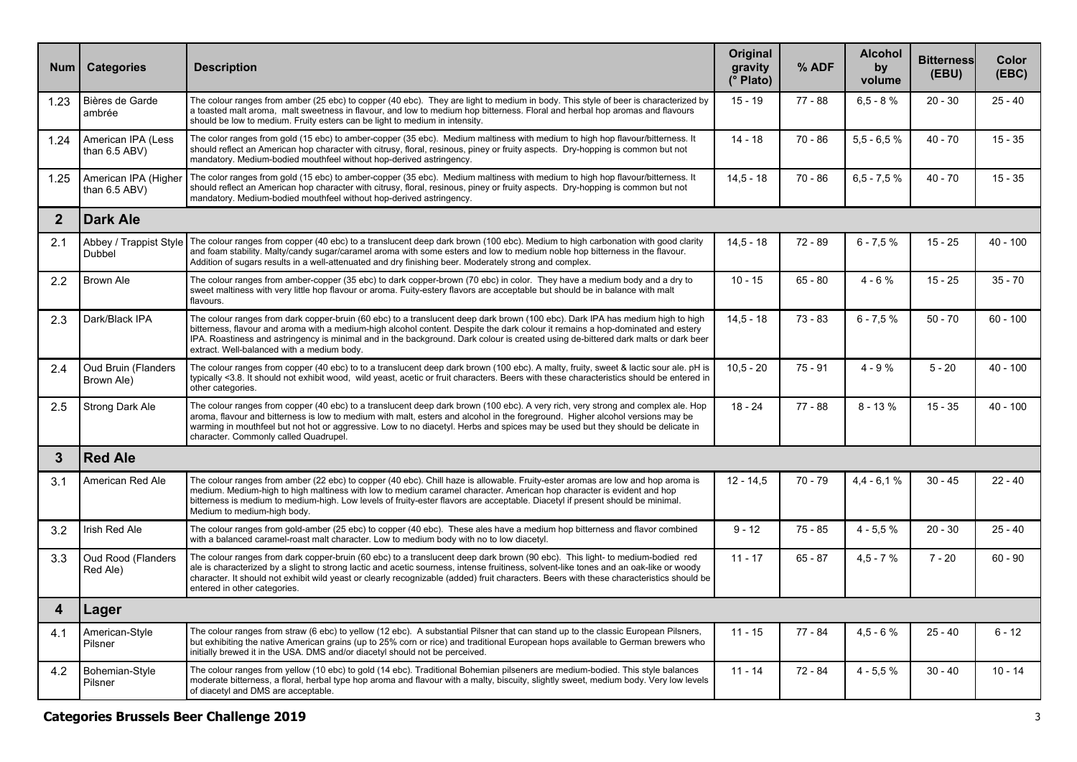| <b>Num</b>     | <b>Categories</b>                        | <b>Description</b>                                                                                                                                                                                                                                                                                                                                                                                                                                    | Original<br>gravity<br>(° Plato) | % ADF     | <b>Alcohol</b><br>by<br>volume | <b>Bitterness</b><br>(EBU) | Color<br>(EBC) |
|----------------|------------------------------------------|-------------------------------------------------------------------------------------------------------------------------------------------------------------------------------------------------------------------------------------------------------------------------------------------------------------------------------------------------------------------------------------------------------------------------------------------------------|----------------------------------|-----------|--------------------------------|----------------------------|----------------|
| 1.23           | Bières de Garde<br>ambrée                | The colour ranges from amber (25 ebc) to copper (40 ebc). They are light to medium in body. This style of beer is characterized by<br>a toasted malt aroma, malt sweetness in flavour, and low to medium hop bitterness. Floral and herbal hop aromas and flavours<br>should be low to medium. Fruity esters can be light to medium in intensity.                                                                                                     | $15 - 19$                        | 77 - 88   | $6,5 - 8%$                     | $20 - 30$                  | $25 - 40$      |
| 1.24           | American IPA (Less<br>than 6.5 ABV)      | The color ranges from gold (15 ebc) to amber-copper (35 ebc). Medium maltiness with medium to high hop flavour/bitterness. It<br>should reflect an American hop character with citrusy, floral, resinous, piney or fruity aspects. Dry-hopping is common but not<br>mandatory. Medium-bodied mouthfeel without hop-derived astringency.                                                                                                               | $14 - 18$                        | $70 - 86$ | $5.5 - 6.5%$                   | $40 - 70$                  | $15 - 35$      |
| 1.25           | American IPA (Higher<br>than 6.5 ABV)    | The color ranges from gold (15 ebc) to amber-copper (35 ebc). Medium maltiness with medium to high hop flavour/bitterness. It<br>should reflect an American hop character with citrusy, floral, resinous, piney or fruity aspects. Dry-hopping is common but not<br>mandatory. Medium-bodied mouthfeel without hop-derived astringency.                                                                                                               | $14.5 - 18$                      | $70 - 86$ | $6.5 - 7.5%$                   | $40 - 70$                  | $15 - 35$      |
| $\overline{2}$ | <b>Dark Ale</b>                          |                                                                                                                                                                                                                                                                                                                                                                                                                                                       |                                  |           |                                |                            |                |
| 2.1            | Dubbel                                   | Abbey / Trappist Style   The colour ranges from copper (40 ebc) to a translucent deep dark brown (100 ebc). Medium to high carbonation with good clarity<br>and foam stability. Malty/candy sugar/caramel aroma with some esters and low to medium noble hop bitterness in the flavour.<br>Addition of sugars results in a well-attenuated and dry finishing beer. Moderately strong and complex.                                                     | $14.5 - 18$                      | $72 - 89$ | $6 - 7,5 %$                    | $15 - 25$                  | $40 - 100$     |
| 2.2            | Brown Ale                                | The colour ranges from amber-copper (35 ebc) to dark copper-brown (70 ebc) in color. They have a medium body and a dry to<br>sweet maltiness with very little hop flavour or aroma. Fuity-estery flavors are acceptable but should be in balance with malt<br>flavours.                                                                                                                                                                               | $10 - 15$                        | $65 - 80$ | $4 - 6%$                       | $15 - 25$                  | $35 - 70$      |
| 2.3            | Dark/Black IPA                           | The colour ranges from dark copper-bruin (60 ebc) to a translucent deep dark brown (100 ebc). Dark IPA has medium high to high<br>bitterness, flavour and aroma with a medium-high alcohol content. Despite the dark colour it remains a hop-dominated and estery<br>IPA. Roastiness and astringency is minimal and in the background. Dark colour is created using de-bittered dark malts or dark beer<br>extract. Well-balanced with a medium body. | $14.5 - 18$                      | $73 - 83$ | $6 - 7.5%$                     | $50 - 70$                  | $60 - 100$     |
| 2.4            | <b>Oud Bruin (Flanders</b><br>Brown Ale) | The colour ranges from copper (40 ebc) to to a translucent deep dark brown (100 ebc). A malty, fruity, sweet & lactic sour ale. pH is<br>typically <3.8. It should not exhibit wood, wild yeast, acetic or fruit characters. Beers with these characteristics should be entered in<br>other categories.                                                                                                                                               | $10.5 - 20$                      | $75 - 91$ | $4 - 9%$                       | $5 - 20$                   | $40 - 100$     |
| 2.5            | Strong Dark Ale                          | The colour ranges from copper (40 ebc) to a translucent deep dark brown (100 ebc). A very rich, very strong and complex ale. Hop<br>aroma, flavour and bitterness is low to medium with malt, esters and alcohol in the foreground. Higher alcohol versions may be<br>warming in mouthfeel but not hot or aggressive. Low to no diacetyl. Herbs and spices may be used but they should be delicate in<br>character. Commonly called Quadrupel.        | $18 - 24$                        | $77 - 88$ | $8 - 13%$                      | $15 - 35$                  | $40 - 100$     |
| 3              | <b>Red Ale</b>                           |                                                                                                                                                                                                                                                                                                                                                                                                                                                       |                                  |           |                                |                            |                |
| 3.1            | American Red Ale                         | The colour ranges from amber (22 ebc) to copper (40 ebc). Chill haze is allowable. Fruity-ester aromas are low and hop aroma is<br>medium. Medium-high to high maltiness with low to medium caramel character. American hop character is evident and hop<br>bitterness is medium to medium-high. Low levels of fruity-ester flavors are acceptable. Diacetyl if present should be minimal.<br>Medium to medium-high body.                             | $12 - 14.5$                      | 70 - 79   | $4.4 - 6.1%$                   | $30 - 45$                  | $22 - 40$      |
| 3.2            | Irish Red Ale                            | The colour ranges from gold-amber (25 ebc) to copper (40 ebc). These ales have a medium hop bitterness and flavor combined<br>with a balanced caramel-roast malt character. Low to medium body with no to low diacetyl.                                                                                                                                                                                                                               | $9 - 12$                         | $75 - 85$ | $4 - 5.5%$                     | $20 - 30$                  | $25 - 40$      |
| 3.3            | <b>Oud Rood (Flanders)</b><br>Red Ale)   | The colour ranges from dark copper-bruin (60 ebc) to a translucent deep dark brown (90 ebc). This light- to medium-bodied red<br>ale is characterized by a slight to strong lactic and acetic sourness, intense fruitiness, solvent-like tones and an oak-like or woody<br>character. It should not exhibit wild yeast or clearly recognizable (added) fruit characters. Beers with these characteristics should be<br>entered in other categories.   | $11 - 17$                        | $65 - 87$ | $4.5 - 7%$                     | $7 - 20$                   | $60 - 90$      |
| 4              | Lager                                    |                                                                                                                                                                                                                                                                                                                                                                                                                                                       |                                  |           |                                |                            |                |
| 4.1            | American-Style<br>Pilsner                | The colour ranges from straw (6 ebc) to yellow (12 ebc). A substantial Pilsner that can stand up to the classic European Pilsners,<br>but exhibiting the native American grains (up to 25% corn or rice) and traditional European hops available to German brewers who<br>initially brewed it in the USA. DMS and/or diacetyl should not be perceived.                                                                                                | $11 - 15$                        | $77 - 84$ | $4,5 - 6%$                     | $25 - 40$                  | $6 - 12$       |
| 4.2            | Bohemian-Style<br>Pilsner                | The colour ranges from yellow (10 ebc) to gold (14 ebc). Traditional Bohemian pilseners are medium-bodied. This style balances<br>moderate bitterness, a floral, herbal type hop aroma and flavour with a malty, biscuity, slightly sweet, medium body. Very low levels<br>of diacetyl and DMS are acceptable.                                                                                                                                        | $11 - 14$                        | $72 - 84$ | $4 - 5.5%$                     | $30 - 40$                  | $10 - 14$      |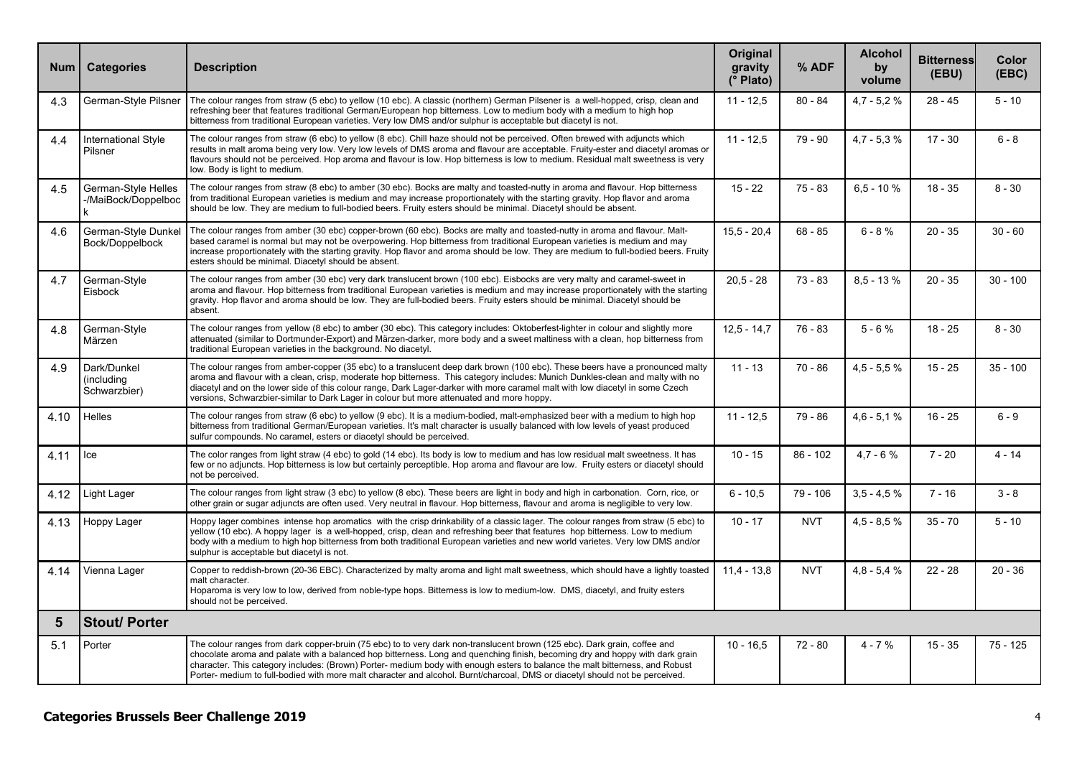| <b>Num</b> | <b>Categories</b>                               | <b>Description</b>                                                                                                                                                                                                                                                                                                                                                                                                                                                                                                        | Original<br>gravity<br>(° Plato) | % ADF      | <b>Alcohol</b><br>by<br>volume | <b>Bitterness</b><br>(EBU) | Color<br>(EBC) |
|------------|-------------------------------------------------|---------------------------------------------------------------------------------------------------------------------------------------------------------------------------------------------------------------------------------------------------------------------------------------------------------------------------------------------------------------------------------------------------------------------------------------------------------------------------------------------------------------------------|----------------------------------|------------|--------------------------------|----------------------------|----------------|
| 4.3        |                                                 | German-Style Pilsner   The colour ranges from straw (5 ebc) to yellow (10 ebc). A classic (northern) German Pilsener is a well-hopped, crisp, clean and<br>refreshing beer that features traditional German/European hop bitterness. Low to medium body with a medium to high hop<br>bitterness from traditional European varieties. Very low DMS and/or sulphur is acceptable but diacetyl is not.                                                                                                                       | $11 - 12,5$                      | $80 - 84$  | $4.7 - 5.2 %$                  | $28 - 45$                  | $5 - 10$       |
| 4.4        | International Style<br>Pilsner                  | The colour ranges from straw (6 ebc) to yellow (8 ebc). Chill haze should not be perceived. Often brewed with adjuncts which<br>results in malt aroma being very low. Very low levels of DMS aroma and flavour are acceptable. Fruity-ester and diacetyl aromas or<br>flavours should not be perceived. Hop aroma and flavour is low. Hop bitterness is low to medium. Residual malt sweetness is very<br>low. Body is light to medium.                                                                                   | $11 - 12,5$                      | $79 - 90$  | $4,7 - 5,3 %$                  | $17 - 30$                  | $6 - 8$        |
| 4.5        | German-Style Helles<br>-/MaiBock/Doppelboc<br>k | The colour ranges from straw (8 ebc) to amber (30 ebc). Bocks are malty and toasted-nutty in aroma and flavour. Hop bitterness<br>from traditional European varieties is medium and may increase proportionately with the starting gravity. Hop flavor and aroma<br>should be low. They are medium to full-bodied beers. Fruity esters should be minimal. Diacetyl should be absent.                                                                                                                                      | $15 - 22$                        | $75 - 83$  | $6, 5 - 10 %$                  | $18 - 35$                  | $8 - 30$       |
| 4.6        | Bock/Doppelbock                                 | German-Style Dunkel   The colour ranges from amber (30 ebc) copper-brown (60 ebc). Bocks are malty and toasted-nutty in aroma and flavour. Malt-<br>based caramel is normal but may not be overpowering. Hop bitterness from traditional European varieties is medium and may<br>increase proportionately with the starting gravity. Hop flavor and aroma should be low. They are medium to full-bodied beers. Fruity<br>esters should be minimal. Diacetyl should be absent.                                             | $15.5 - 20.4$                    | $68 - 85$  | $6 - 8%$                       | $20 - 35$                  | $30 - 60$      |
| 4.7        | German-Style<br>Eisbock                         | The colour ranges from amber (30 ebc) very dark translucent brown (100 ebc). Eisbocks are very malty and caramel-sweet in<br>aroma and flavour. Hop bitterness from traditional European varieties is medium and may increase proportionately with the starting<br>gravity. Hop flavor and aroma should be low. They are full-bodied beers. Fruity esters should be minimal. Diacetyl should be<br>absent.                                                                                                                | $20.5 - 28$                      | $73 - 83$  | $8,5 - 13%$                    | $20 - 35$                  | $30 - 100$     |
| 4.8        | German-Style<br>Märzen                          | The colour ranges from yellow (8 ebc) to amber (30 ebc). This category includes: Oktoberfest-lighter in colour and slightly more<br>attenuated (similar to Dortmunder-Export) and Märzen-darker, more body and a sweet maltiness with a clean, hop bitterness from<br>traditional European varieties in the background. No diacetyl.                                                                                                                                                                                      | $12.5 - 14.7$                    | $76 - 83$  | $5 - 6%$                       | $18 - 25$                  | $8 - 30$       |
| 4.9        | Dark/Dunkel<br>(including<br>Schwarzbier)       | The colour ranges from amber-copper (35 ebc) to a translucent deep dark brown (100 ebc). These beers have a pronounced malty<br>aroma and flavour with a clean, crisp, moderate hop bitterness. This category includes: Munich Dunkles-clean and malty with no<br>diacetyl and on the lower side of this colour range, Dark Lager-darker with more caramel malt with low diacetyl in some Czech<br>versions, Schwarzbier-similar to Dark Lager in colour but more attenuated and more hoppy.                              | $11 - 13$                        | $70 - 86$  | $4.5 - 5.5%$                   | $15 - 25$                  | $35 - 100$     |
| 4.10       | <b>Helles</b>                                   | The colour ranges from straw (6 ebc) to yellow (9 ebc). It is a medium-bodied, malt-emphasized beer with a medium to high hop<br>bitterness from traditional German/European varieties. It's malt character is usually balanced with low levels of yeast produced<br>sulfur compounds. No caramel, esters or diacetyl should be perceived.                                                                                                                                                                                | $11 - 12.5$                      | $79 - 86$  | $4,6 - 5,1%$                   | $16 - 25$                  | $6 - 9$        |
| 4.11       | lce                                             | The color ranges from light straw (4 ebc) to gold (14 ebc). Its body is low to medium and has low residual malt sweetness. It has<br>few or no adjuncts. Hop bitterness is low but certainly perceptible. Hop aroma and flavour are low. Fruity esters or diacetyl should<br>not be perceived.                                                                                                                                                                                                                            | $10 - 15$                        | $86 - 102$ | $4.7 - 6%$                     | $7 - 20$                   | $4 - 14$       |
| 4.12       | Light Lager                                     | The colour ranges from light straw (3 ebc) to yellow (8 ebc). These beers are light in body and high in carbonation. Corn, rice, or<br>other grain or sugar adjuncts are often used. Very neutral in flavour. Hop bitterness, flavour and aroma is negligible to very low.                                                                                                                                                                                                                                                | $6 - 10.5$                       | 79 - 106   | $3.5 - 4.5%$                   | $7 - 16$                   | $3 - 8$        |
| 4.13       | Hoppy Lager                                     | Hoppy lager combines intense hop aromatics with the crisp drinkability of a classic lager. The colour ranges from straw (5 ebc) to<br>yellow (10 ebc). A hoppy lager is a well-hopped, crisp, clean and refreshing beer that features hop bitterness. Low to medium<br>body with a medium to high hop bitterness from both traditional European varieties and new world varietes. Very low DMS and/or<br>sulphur is acceptable but diacetyl is not.                                                                       | $10 - 17$                        | <b>NVT</b> | $4.5 - 8.5%$                   | $35 - 70$                  | $5 - 10$       |
| 4.14       | Vienna Lager                                    | Copper to reddish-brown (20-36 EBC). Characterized by malty aroma and light malt sweetness, which should have a lightly toasted<br>malt character.<br>Hoparoma is very low to low, derived from noble-type hops. Bitterness is low to medium-low. DMS, diacetyl, and fruity esters<br>should not be perceived.                                                                                                                                                                                                            | $11.4 - 13.8$                    | <b>NVT</b> | $4,8 - 5,4 %$                  | $22 - 28$                  | $20 - 36$      |
| 5          | <b>Stout/Porter</b>                             |                                                                                                                                                                                                                                                                                                                                                                                                                                                                                                                           |                                  |            |                                |                            |                |
| 5.1        | Porter                                          | The colour ranges from dark copper-bruin (75 ebc) to to very dark non-translucent brown (125 ebc). Dark grain, coffee and<br>chocolate aroma and palate with a balanced hop bitterness. Long and quenching finish, becoming dry and hoppy with dark grain<br>character. This category includes: (Brown) Porter- medium body with enough esters to balance the malt bitterness, and Robust<br>Porter- medium to full-bodied with more malt character and alcohol. Burnt/charcoal, DMS or diacetyl should not be perceived. | $10 - 16,5$                      | $72 - 80$  | $4 - 7%$                       | $15 - 35$                  | 75 - 125       |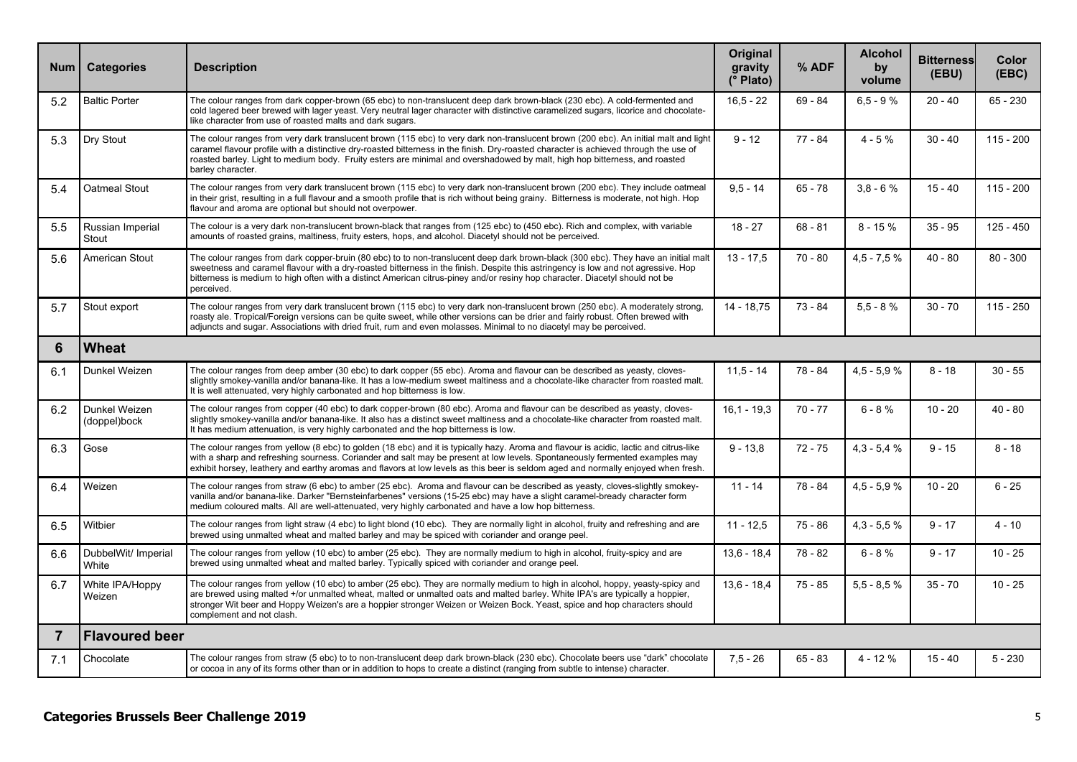| Num            | <b>Categories</b>             | <b>Description</b>                                                                                                                                                                                                                                                                                                                                                                                                               | <b>Original</b><br>gravity<br>(° Plato) | % ADF     | <b>Alcohol</b><br>by<br>volume | <b>Bitterness</b><br>(EBU) | Color<br>(EBC) |  |  |
|----------------|-------------------------------|----------------------------------------------------------------------------------------------------------------------------------------------------------------------------------------------------------------------------------------------------------------------------------------------------------------------------------------------------------------------------------------------------------------------------------|-----------------------------------------|-----------|--------------------------------|----------------------------|----------------|--|--|
| 5.2            | <b>Baltic Porter</b>          | The colour ranges from dark copper-brown (65 ebc) to non-translucent deep dark brown-black (230 ebc). A cold-fermented and<br>cold lagered beer brewed with lager yeast. Very neutral lager character with distinctive caramelized sugars, licorice and chocolate-<br>like character from use of roasted malts and dark sugars.                                                                                                  | $16.5 - 22$                             | $69 - 84$ | $6,5 - 9%$                     | $20 - 40$                  | 65 - 230       |  |  |
| 5.3            | Dry Stout                     | The colour ranges from very dark translucent brown (115 ebc) to very dark non-translucent brown (200 ebc). An initial malt and light<br>caramel flavour profile with a distinctive dry-roasted bitterness in the finish. Dry-roasted character is achieved through the use of<br>roasted barley. Light to medium body. Fruity esters are minimal and overshadowed by malt, high hop bitterness, and roasted<br>barley character. | $9 - 12$                                | $77 - 84$ | $4 - 5%$                       | $30 - 40$                  | $115 - 200$    |  |  |
| 5.4            | <b>Oatmeal Stout</b>          | The colour ranges from very dark translucent brown (115 ebc) to very dark non-translucent brown (200 ebc). They include oatmeal<br>in their grist, resulting in a full flavour and a smooth profile that is rich without being grainy. Bitterness is moderate, not high. Hop<br>flavour and aroma are optional but should not overpower.                                                                                         | $9.5 - 14$                              | $65 - 78$ | $3.8 - 6%$                     | $15 - 40$                  | $115 - 200$    |  |  |
| 5.5            | Russian Imperial<br>Stout     | The colour is a very dark non-translucent brown-black that ranges from (125 ebc) to (450 ebc). Rich and complex, with variable<br>amounts of roasted grains, maltiness, fruity esters, hops, and alcohol. Diacetyl should not be perceived.                                                                                                                                                                                      | $18 - 27$                               | $68 - 81$ | $8 - 15%$                      | $35 - 95$                  | 125 - 450      |  |  |
| 5.6            | American Stout                | The colour ranges from dark copper-bruin (80 ebc) to to non-translucent deep dark brown-black (300 ebc). They have an initial mall<br>sweetness and caramel flavour with a dry-roasted bitterness in the finish. Despite this astringency is low and not agressive. Hop<br>bitterness is medium to high often with a distinct American citrus-piney and/or resiny hop character. Diacetyl should not be<br>perceived.            | $13 - 17,5$                             | $70 - 80$ | $4,5 - 7,5 %$                  | $40 - 80$                  | $80 - 300$     |  |  |
| 5.7            | Stout export                  | The colour ranges from very dark translucent brown (115 ebc) to very dark non-translucent brown (250 ebc). A moderately strong,<br>roasty ale. Tropical/Foreign versions can be quite sweet, while other versions can be drier and fairly robust. Often brewed with<br>adjuncts and sugar. Associations with dried fruit, rum and even molasses. Minimal to no diacetyl may be perceived.                                        | 14 - 18.75                              | $73 - 84$ | $5.5 - 8%$                     | $30 - 70$                  | $115 - 250$    |  |  |
| 6              | <b>Wheat</b>                  |                                                                                                                                                                                                                                                                                                                                                                                                                                  |                                         |           |                                |                            |                |  |  |
| 6.1            | Dunkel Weizen                 | The colour ranges from deep amber (30 ebc) to dark copper (55 ebc). Aroma and flavour can be described as yeasty, cloves-<br>slightly smokey-vanilla and/or banana-like. It has a low-medium sweet maltiness and a chocolate-like character from roasted malt.<br>It is well attenuated, very highly carbonated and hop bitterness is low.                                                                                       | $11,5 - 14$                             | 78 - 84   | $4.5 - 5.9%$                   | $8 - 18$                   | $30 - 55$      |  |  |
| 6.2            | Dunkel Weizen<br>(doppel)bock | The colour ranges from copper (40 ebc) to dark copper-brown (80 ebc). Aroma and flavour can be described as yeasty, cloves-<br>slightly smokey-vanilla and/or banana-like. It also has a distinct sweet maltiness and a chocolate-like character from roasted malt.<br>It has medium attenuation, is very highly carbonated and the hop bitterness is low.                                                                       | $16,1 - 19,3$                           | $70 - 77$ | $6 - 8%$                       | $10 - 20$                  | $40 - 80$      |  |  |
| 6.3            | Gose                          | The colour ranges from yellow (8 ebc) to golden (18 ebc) and it is typically hazy. Aroma and flavour is acidic, lactic and citrus-like<br>with a sharp and refreshing sourness. Coriander and salt may be present at low levels. Spontaneously fermented examples may<br>exhibit horsey, leathery and earthy aromas and flavors at low levels as this beer is seldom aged and normally enjoyed when fresh.                       | $9 - 13,8$                              | $72 - 75$ | $4.3 - 5.4 %$                  | $9 - 15$                   | $8 - 18$       |  |  |
| 6.4            | Weizen                        | The colour ranges from straw (6 ebc) to amber (25 ebc). Aroma and flavour can be described as yeasty, cloves-slightly smokey-<br>vanilla and/or banana-like. Darker "Bernsteinfarbenes" versions (15-25 ebc) may have a slight caramel-bready character form<br>medium coloured malts. All are well-attenuated, very highly carbonated and have a low hop bitterness.                                                            | $11 - 14$                               | 78 - 84   | $4,5 - 5,9 %$                  | $10 - 20$                  | $6 - 25$       |  |  |
| 6.5            | Witbier                       | The colour ranges from light straw (4 ebc) to light blond (10 ebc). They are normally light in alcohol, fruity and refreshing and are<br>brewed using unmalted wheat and malted barley and may be spiced with coriander and orange peel.                                                                                                                                                                                         | $11 - 12.5$                             | $75 - 86$ | $4.3 - 5.5 %$                  | $9 - 17$                   | $4 - 10$       |  |  |
| 6.6            | DubbelWit/ Imperial<br>White  | The colour ranges from yellow (10 ebc) to amber (25 ebc). They are normally medium to high in alcohol, fruity-spicy and are<br>brewed using unmalted wheat and malted barley. Typically spiced with coriander and orange peel.                                                                                                                                                                                                   | $13.6 - 18.4$                           | 78 - 82   | $6 - 8%$                       | $9 - 17$                   | $10 - 25$      |  |  |
| 6.7            | White IPA/Hoppy<br>Weizen     | The colour ranges from yellow (10 ebc) to amber (25 ebc). They are normally medium to high in alcohol, hoppy, yeasty-spicy and<br>are brewed using malted +/or unmalted wheat, malted or unmalted oats and malted barley. White IPA's are typically a hoppier,<br>stronger Wit beer and Hoppy Weizen's are a hoppier stronger Weizen or Weizen Bock. Yeast, spice and hop characters should<br>complement and not clash.         | $13.6 - 18.4$                           | $75 - 85$ | $5.5 - 8.5%$                   | $35 - 70$                  | $10 - 25$      |  |  |
| $\overline{7}$ | <b>Flavoured beer</b>         |                                                                                                                                                                                                                                                                                                                                                                                                                                  |                                         |           |                                |                            |                |  |  |
| 7.1            | Chocolate                     | The colour ranges from straw (5 ebc) to to non-translucent deep dark brown-black (230 ebc). Chocolate beers use "dark" chocolate<br>or cocoa in any of its forms other than or in addition to hops to create a distinct (ranging from subtle to intense) character.                                                                                                                                                              | $7,5 - 26$                              | $65 - 83$ | 4 - 12 %                       | $15 - 40$                  | $5 - 230$      |  |  |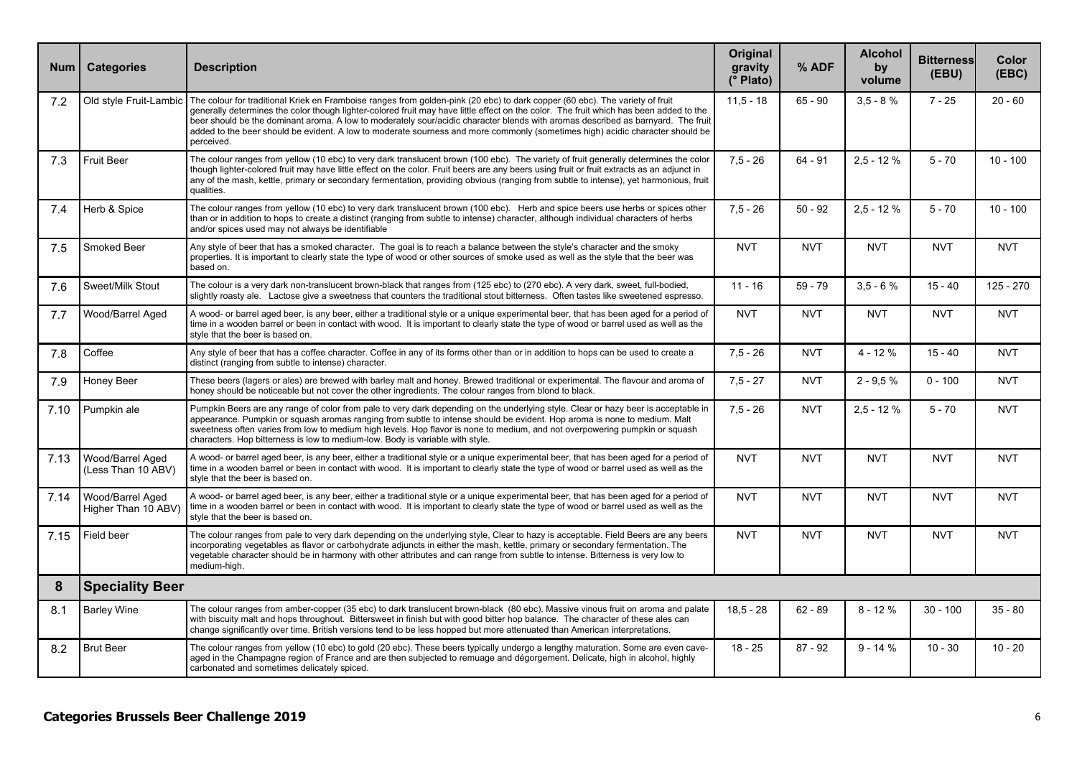| <b>Num</b> | <b>Categories</b>                       | <b>Description</b>                                                                                                                                                                                                                                                                                                                                                                                                                                                                                                                                                                 | <b>Original</b><br>gravity<br>(° Plato) | % ADF      | <b>Alcohol</b><br>by<br>volume | <b>Bitterness</b><br>(EBU) | Color<br>(EBC) |  |
|------------|-----------------------------------------|------------------------------------------------------------------------------------------------------------------------------------------------------------------------------------------------------------------------------------------------------------------------------------------------------------------------------------------------------------------------------------------------------------------------------------------------------------------------------------------------------------------------------------------------------------------------------------|-----------------------------------------|------------|--------------------------------|----------------------------|----------------|--|
| 7.2        |                                         | Old style Fruit-Lambic   The colour for traditional Kriek en Framboise ranges from golden-pink (20 ebc) to dark copper (60 ebc). The variety of fruit<br>generally determines the color though lighter-colored fruit may have little effect on the color. The fruit which has been added to the<br>beer should be the dominant aroma. A low to moderately sour/acidic character blends with aromas described as barnyard. The fruit<br>added to the beer should be evident. A low to moderate sourness and more commonly (sometimes high) acidic character should be<br>perceived. | $11.5 - 18$                             | $65 - 90$  | $3.5 - 8%$                     | $7 - 25$                   | $20 - 60$      |  |
| 7.3        | <b>Fruit Beer</b>                       | The colour ranges from yellow (10 ebc) to very dark translucent brown (100 ebc). The variety of fruit generally determines the color<br>though lighter-colored fruit may have little effect on the color. Fruit beers are any beers using fruit or fruit extracts as an adjunct in<br>any of the mash, kettle, primary or secondary fermentation, providing obvious (ranging from subtle to intense), yet harmonious, fruit<br>qualities.                                                                                                                                          | $7.5 - 26$                              | $64 - 91$  | $2.5 - 12%$                    | $5 - 70$                   | $10 - 100$     |  |
| 7.4        | Herb & Spice                            | The colour ranges from yellow (10 ebc) to very dark translucent brown (100 ebc). Herb and spice beers use herbs or spices other<br>than or in addition to hops to create a distinct (ranging from subtle to intense) character, although individual characters of herbs<br>and/or spices used may not always be identifiable                                                                                                                                                                                                                                                       | $7.5 - 26$                              | $50 - 92$  | $2.5 - 12%$                    | $5 - 70$                   | $10 - 100$     |  |
| 7.5        | Smoked Beer                             | Any style of beer that has a smoked character. The goal is to reach a balance between the style's character and the smoky<br>properties. It is important to clearly state the type of wood or other sources of smoke used as well as the style that the beer was<br>based on.                                                                                                                                                                                                                                                                                                      | <b>NVT</b>                              | <b>NVT</b> | <b>NVT</b>                     | <b>NVT</b>                 | <b>NVT</b>     |  |
| 7.6        | Sweet/Milk Stout                        | The colour is a very dark non-translucent brown-black that ranges from (125 ebc) to (270 ebc). A very dark, sweet, full-bodied,<br>slightly roasty ale. Lactose give a sweetness that counters the traditional stout bitterness. Often tastes like sweetened espresso.                                                                                                                                                                                                                                                                                                             | $11 - 16$                               | $59 - 79$  | $3.5 - 6%$                     | $15 - 40$                  | $125 - 270$    |  |
| 7.7        | Wood/Barrel Aged                        | A wood- or barrel aged beer, is any beer, either a traditional style or a unique experimental beer, that has been aged for a period of<br>time in a wooden barrel or been in contact with wood. It is important to clearly state the type of wood or barrel used as well as the<br>style that the beer is based on.                                                                                                                                                                                                                                                                | <b>NVT</b>                              | <b>NVT</b> | <b>NVT</b>                     | <b>NVT</b>                 | <b>NVT</b>     |  |
| 7.8        | Coffee                                  | Any style of beer that has a coffee character. Coffee in any of its forms other than or in addition to hops can be used to create a<br>distinct (ranging from subtle to intense) character.                                                                                                                                                                                                                                                                                                                                                                                        | $7.5 - 26$                              | <b>NVT</b> | $4 - 12%$                      | $15 - 40$                  | <b>NVT</b>     |  |
| 7.9        | Honey Beer                              | These beers (lagers or ales) are brewed with barley malt and honey. Brewed traditional or experimental. The flavour and aroma of<br>honey should be noticeable but not cover the other ingredients. The colour ranges from blond to black.                                                                                                                                                                                                                                                                                                                                         | $7.5 - 27$                              | <b>NVT</b> | $2 - 9.5 %$                    | $0 - 100$                  | <b>NVT</b>     |  |
| 7.10       | Pumpkin ale                             | Pumpkin Beers are any range of color from pale to very dark depending on the underlying style. Clear or hazy beer is acceptable in<br>appearance. Pumpkin or squash aromas ranging from subtle to intense should be evident. Hop aroma is none to medium. Malt<br>sweetness often varies from low to medium high levels. Hop flavor is none to medium, and not overpowering pumpkin or squash<br>characters. Hop bitterness is low to medium-low. Body is variable with style.                                                                                                     | $7.5 - 26$                              | <b>NVT</b> | $2.5 - 12%$                    | $5 - 70$                   | <b>NVT</b>     |  |
| 7.13       | Wood/Barrel Aged<br>(Less Than 10 ABV)  | A wood- or barrel aged beer, is any beer, either a traditional style or a unique experimental beer, that has been aged for a period of<br>time in a wooden barrel or been in contact with wood. It is important to clearly state the type of wood or barrel used as well as the<br>style that the beer is based on.                                                                                                                                                                                                                                                                | <b>NVT</b>                              | <b>NVT</b> | <b>NVT</b>                     | <b>NVT</b>                 | <b>NVT</b>     |  |
| 7.14       | Wood/Barrel Aged<br>Higher Than 10 ABV) | A wood- or barrel aged beer, is any beer, either a traditional style or a unique experimental beer, that has been aged for a period of<br>time in a wooden barrel or been in contact with wood. It is important to clearly state the type of wood or barrel used as well as the<br>style that the beer is based on.                                                                                                                                                                                                                                                                | <b>NVT</b>                              | <b>NVT</b> | <b>NVT</b>                     | <b>NVT</b>                 | <b>NVT</b>     |  |
| 7.15       | Field beer                              | The colour ranges from pale to very dark depending on the underlying style, Clear to hazy is acceptable. Field Beers are any beers<br>incorporating vegetables as flavor or carbohydrate adjuncts in either the mash, kettle, primary or secondary fermentation. The<br>vegetable character should be in harmony with other attributes and can range from subtle to intense. Bitterness is very low to<br>medium-high.                                                                                                                                                             | <b>NVT</b>                              | <b>NVT</b> | <b>NVT</b>                     | <b>NVT</b>                 | <b>NVT</b>     |  |
| 8          | <b>Speciality Beer</b>                  |                                                                                                                                                                                                                                                                                                                                                                                                                                                                                                                                                                                    |                                         |            |                                |                            |                |  |
| 8.1        | <b>Barley Wine</b>                      | The colour ranges from amber-copper (35 ebc) to dark translucent brown-black (80 ebc). Massive vinous fruit on aroma and palate<br>with biscuity malt and hops throughout. Bittersweet in finish but with good bitter hop balance. The character of these ales can<br>change significantly over time. British versions tend to be less hopped but more attenuated than American interpretations.                                                                                                                                                                                   | $18.5 - 28$                             | $62 - 89$  | $8 - 12%$                      | $30 - 100$                 | $35 - 80$      |  |
| 8.2        | <b>Brut Beer</b>                        | The colour ranges from yellow (10 ebc) to gold (20 ebc). These beers typically undergo a lengthy maturation. Some are even cave-<br>aged in the Champagne region of France and are then subjected to remuage and dégorgement. Delicate, high in alcohol, highly<br>carbonated and sometimes delicately spiced.                                                                                                                                                                                                                                                                     | $18 - 25$                               | $87 - 92$  | $9 - 14%$                      | $10 - 30$                  | $10 - 20$      |  |